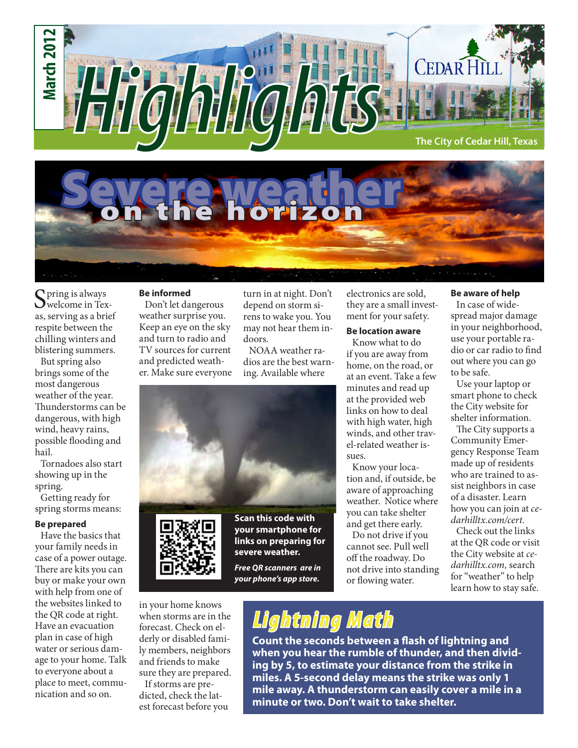



Spring is always<br>Swelcome in Texas, serving as a brief respite between the chilling winters and blistering summers.

But spring also brings some of the most dangerous weather of the year. Thunderstorms can be dangerous, with high wind, heavy rains, possible flooding and hail.

Tornadoes also start showing up in the spring.

Getting ready for spring storms means:

#### **Be prepared**

Have the basics that your family needs in case of a power outage. There are kits you can buy or make your own with help from one of the websites linked to the QR code at right. Have an evacuation plan in case of high water or serious damage to your home. Talk to everyone about a place to meet, communication and so on.

#### **Be informed**

Don't let dangerous weather surprise you. Keep an eye on the sky and turn to radio and TV sources for current and predicted weather. Make sure everyone turn in at night. Don't depend on storm sirens to wake you. You may not hear them indoors.

NOAA weather radios are the best warning. Available where





in your home knows when storms are in the

**Scan this code with your smartphone for links on preparing for severe weather.**

*Free QR scanners are in your phone's app store.*

electronics are sold, they are a small investment for your safety.

#### **Be location aware**

Know what to do if you are away from home, on the road, or at an event. Take a few minutes and read up at the provided web links on how to deal with high water, high winds, and other travel-related weather issues.

Know your location and, if outside, be aware of approaching weather. Notice where you can take shelter and get there early.

Do not drive if you cannot see. Pull well off the roadway. Do not drive into standing or flowing water.

#### **Be aware of help**

In case of widespread major damage in your neighborhood, use your portable radio or car radio to find out where you can go to be safe.

Use your laptop or smart phone to check the City website for shelter information.

The City supports a Community Emergency Response Team made up of residents who are trained to assist neighbors in case of a disaster. Learn how you can join at *cedarhilltx.com/cert*.

Check out the links at the QR code or visit the City website at *cedarhilltx.com,* search for "weather" to help learn how to stay safe.

## *Lightning Math*

**Count the seconds between a flash of lightning and when you hear the rumble of thunder, and then dividing by 5, to estimate your distance from the strike in miles. A 5-second delay means the strike was only 1 mile away. A thunderstorm can easily cover a mile in a minute or two. Don't wait to take shelter.** 

forecast. Check on elderly or disabled family members, neighbors and friends to make sure they are prepared. If storms are pre-

dicted, check the latest forecast before you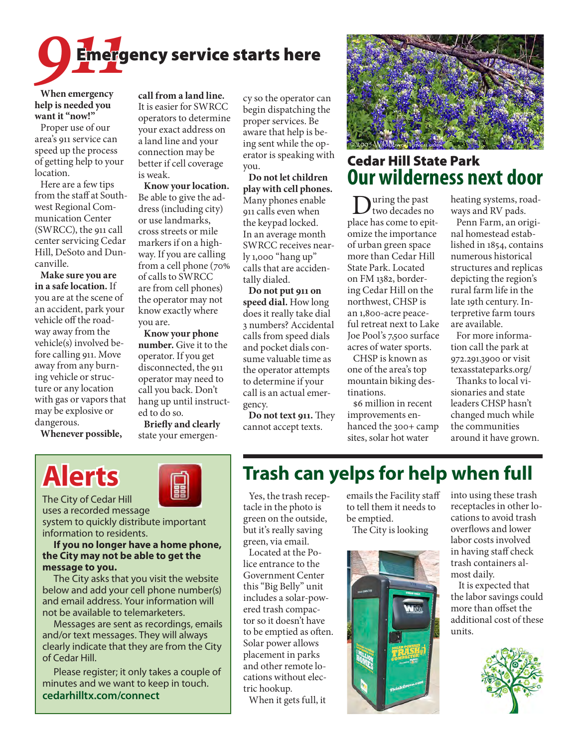

**When emergency help is needed you want it "now!"**

Proper use of our area's 911 service can speed up the process of getting help to your location.

Here are a few tips from the staff at Southwest Regional Communication Center (SWRCC), the 911 call center servicing Cedar Hill, DeSoto and Duncanville.

**Make sure you are in a safe location.** If you are at the scene of an accident, park your vehicle off the roadway away from the vehicle(s) involved before calling 911. Move away from any burning vehicle or structure or any location with gas or vapors that may be explosive or dangerous.

**Whenever possible,** 

**call from a land line.** It is easier for SWRCC operators to determine your exact address on a land line and your connection may be better if cell coverage is weak.

**Know your location.** Be able to give the address (including city) or use landmarks, cross streets or mile markers if on a highway. If you are calling from a cell phone (70% of calls to SWRCC are from cell phones) the operator may not know exactly where you are.

**Know your phone number.** Give it to the operator. If you get disconnected, the 911 operator may need to call you back. Don't hang up until instructed to do so.

**Briefly and clearly** state your emergency so the operator can begin dispatching the proper services. Be aware that help is being sent while the operator is speaking with you.

**Do not let children play with cell phones.** Many phones enable 911 calls even when the keypad locked. In an average month SWRCC receives nearly 1,000 "hang up" calls that are accidentally dialed.

**Do not put 911 on speed dial.** How long does it really take dial 3 numbers? Accidental calls from speed dials and pocket dials consume valuable time as the operator attempts to determine if your call is an actual emergency.

**Do not text 911.** They cannot accept texts.



## Cedar Hill State Park **Our wilderness next door**

 $\sum_{\text{two decades no}}$ place has come to epitomize the importance of urban green space more than Cedar Hill State Park. Located on FM 1382, bordering Cedar Hill on the northwest, CHSP is an 1,800-acre peaceful retreat next to Lake Joe Pool's 7,500 surface acres of water sports.

CHSP is known as one of the area's top mountain biking destinations.

\$6 million in recent improvements enhanced the 300+ camp sites, solar hot water

heating systems, roadways and RV pads.

Penn Farm, an original homestead established in 1854, contains numerous historical structures and replicas depicting the region's rural farm life in the late 19th century. Interpretive farm tours are available.

For more information call the park at 972.291.3900 or visit texasstateparks.org/

Thanks to local visionaries and state leaders CHSP hasn't changed much while the communities around it have grown.

# **Alerts**



uses a recorded message system to quickly distribute important information to residents.

#### **If you no longer have a home phone, the City may not be able to get the message to you.**

The City asks that you visit the website below and add your cell phone number(s) and email address. Your information will not be available to telemarketers.

Messages are sent as recordings, emails and/or text messages. They will always clearly indicate that they are from the City of Cedar Hill.

Please register; it only takes a couple of minutes and we want to keep in touch. **cedarhilltx.com/connect**

## **Trash can yelps for help when full**

Yes, the trash receptacle in the photo is green on the outside, but it's really saving green, via email.

Located at the Police entrance to the Government Center this "Big Belly" unit includes a solar-powered trash compactor so it doesn't have to be emptied as often. Solar power allows placement in parks and other remote locations without electric hookup.

When it gets full, it

emails the Facility staff to tell them it needs to be emptied.

The City is looking



into using these trash receptacles in other locations to avoid trash overflows and lower labor costs involved in having staff check trash containers almost daily.

 It is expected that the labor savings could more than offset the additional cost of these units.

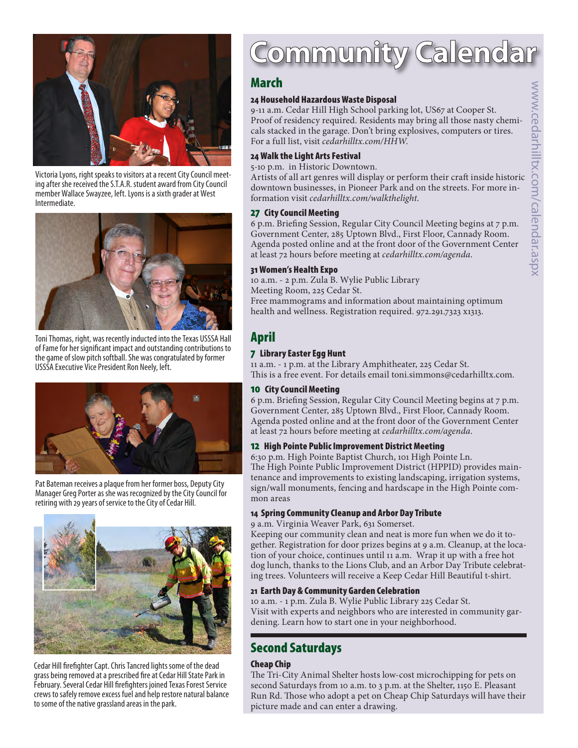

Victoria Lyons, right speaks to visitors at a recent City Council meeting after she received the S.T.A.R. student award from City Council member Wallace Swayzee, left. Lyons is a sixth grader at West Intermediate.



Toni Thomas, right, was recently inducted into the Texas USSSA Hall of Fame for her significant impact and outstanding contributions to the game of slow pitch softball. She was congratulated by former USSSA Executive Vice President Ron Neely, left.



Pat Bateman receives a plaque from her former boss, Deputy City Manager Greg Porter as she was recognized by the City Council for retiring with 29 years of service to the City of Cedar Hill.



Cedar Hill firefighter Capt. Chris Tancred lights some of the dead grass being removed at a prescribed fire at Cedar Hill State Park in February. Several Cedar Hill firefighters joined Texas Forest Service crews to safely remove excess fuel and help restore natural balance to some of the native grassland areas in the park.

# Community Calenda

### **March**

#### 24 Household Hazardous Waste Disposal

9-11 a.m. Cedar Hill High School parking lot, US67 at Cooper St. Proof of residency required. Residents may bring all those nasty chemicals stacked in the garage. Don't bring explosives, computers or tires. For a full list, visit *cedarhilltx.com/HHW*.

#### 24 Walk the Light Arts Festival

#### 5-10 p.m. in Historic Downtown.

Artists of all art genres will display or perform their craft inside historic downtown businesses, in Pioneer Park and on the streets. For more information visit *cedarhilltx.com/walkthelight*.

#### 27 City Council Meeting

6 p.m. Briefing Session, Regular City Council Meeting begins at 7 p.m. Government Center, 285 Uptown Blvd., First Floor, Cannady Room. Agenda posted online and at the front door of the Government Center at least 72 hours before meeting at *cedarhilltx.com/agenda*.

#### 31 Women's Health Expo

10 a.m. - 2 p.m. Zula B. Wylie Public Library Meeting Room, 225 Cedar St. Free mammograms and information about maintaining optimum health and wellness. Registration required. 972.291.7323 x1313.

## April

#### 7 Library Easter Egg Hunt

11 a.m. - 1 p.m. at the Library Amphitheater, 225 Cedar St. This is a free event. For details email toni.simmons@cedarhilltx.com.

#### 10 City Council Meeting

6 p.m. Briefing Session, Regular City Council Meeting begins at 7 p.m. Government Center, 285 Uptown Blvd., First Floor, Cannady Room. Agenda posted online and at the front door of the Government Center at least 72 hours before meeting at *cedarhilltx.com/agenda*.

#### 12 High Pointe Public Improvement District Meeting

6:30 p.m. High Pointe Baptist Church, 101 High Pointe Ln. The High Pointe Public Improvement District (HPPID) provides maintenance and improvements to existing landscaping, irrigation systems, sign/wall monuments, fencing and hardscape in the High Pointe common areas

#### 14 Spring Community Cleanup and Arbor Day Tribute

9 a.m. Virginia Weaver Park, 631 Somerset.

Keeping our community clean and neat is more fun when we do it together. Registration for door prizes begins at 9 a.m. Cleanup, at the location of your choice, continues until 11 a.m. Wrap it up with a free hot dog lunch, thanks to the Lions Club, and an Arbor Day Tribute celebrating trees. Volunteers will receive a Keep Cedar Hill Beautiful t-shirt.

#### 21 Earth Day & Community Garden Celebration

10 a.m. - 1 p.m. Zula B. Wylie Public Library 225 Cedar St. Visit with experts and neighbors who are interested in community gardening. Learn how to start one in your neighborhood.

## Second Saturdays

#### Cheap Chip

The Tri-City Animal Shelter hosts low-cost microchipping for pets on second Saturdays from 10 a.m. to 3 p.m. at the Shelter, 1150 E. Pleasant Run Rd. Those who adopt a pet on Cheap Chip Saturdays will have their picture made and can enter a drawing.